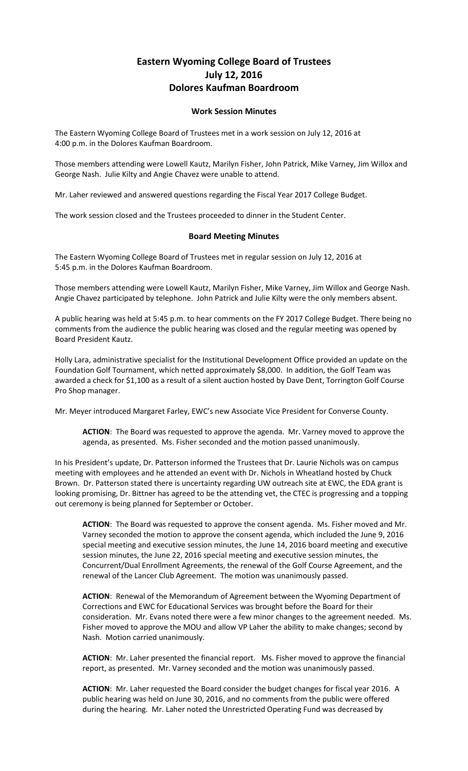## **Eastern Wyoming College Board of Trustees July 12, 2016 Dolores Kaufman Boardroom**

## **Work Session Minutes**

The Eastern Wyoming College Board of Trustees met in a work session on July 12, 2016 at 4:00 p.m. in the Dolores Kaufman Boardroom.

Those members attending were Lowell Kautz, Marilyn Fisher, John Patrick, Mike Varney, Jim Willox and George Nash. Julie Kilty and Angie Chavez were unable to attend.

Mr. Laher reviewed and answered questions regarding the Fiscal Year 2017 College Budget.

The work session closed and the Trustees proceeded to dinner in the Student Center.

## **Board Meeting Minutes**

The Eastern Wyoming College Board of Trustees met in regular session on July 12, 2016 at 5:45 p.m. in the Dolores Kaufman Boardroom.

Those members attending were Lowell Kautz, Marilyn Fisher, Mike Varney, Jim Willox and George Nash. Angie Chavez participated by telephone. John Patrick and Julie Kilty were the only members absent.

A public hearing was held at 5:45 p.m. to hear comments on the FY 2017 College Budget. There being no comments from the audience the public hearing was closed and the regular meeting was opened by Board President Kautz.

Holly Lara, administrative specialist for the Institutional Development Office provided an update on the Foundation Golf Tournament, which netted approximately \$8,000. In addition, the Golf Team was awarded a check for \$1,100 as a result of a silent auction hosted by Dave Dent, Torrington Golf Course Pro Shop manager.

Mr. Meyer introduced Margaret Farley, EWC's new Associate Vice President for Converse County.

**ACTION**: The Board was requested to approve the agenda. Mr. Varney moved to approve the agenda, as presented. Ms. Fisher seconded and the motion passed unanimously.

In his President's update, Dr. Patterson informed the Trustees that Dr. Laurie Nichols was on campus meeting with employees and he attended an event with Dr. Nichols in Wheatland hosted by Chuck Brown. Dr. Patterson stated there is uncertainty regarding UW outreach site at EWC, the EDA grant is looking promising, Dr. Bittner has agreed to be the attending vet, the CTEC is progressing and a topping out ceremony is being planned for September or October.

**ACTION**: The Board was requested to approve the consent agenda. Ms. Fisher moved and Mr. Varney seconded the motion to approve the consent agenda, which included the June 9, 2016 special meeting and executive session minutes, the June 14, 2016 board meeting and executive session minutes, the June 22, 2016 special meeting and executive session minutes, the Concurrent/Dual Enrollment Agreements, the renewal of the Golf Course Agreement, and the renewal of the Lancer Club Agreement. The motion was unanimously passed.

**ACTION**: Renewal of the Memorandum of Agreement between the Wyoming Department of Corrections and EWC for Educational Services was brought before the Board for their consideration. Mr. Evans noted there were a few minor changes to the agreement needed. Ms. Fisher moved to approve the MOU and allow VP Laher the ability to make changes; second by Nash. Motion carried unanimously.

**ACTION**: Mr. Laher presented the financial report. Ms. Fisher moved to approve the financial report, as presented. Mr. Varney seconded and the motion was unanimously passed.

**ACTION**: Mr. Laher requested the Board consider the budget changes for fiscal year 2016. A public hearing was held on June 30, 2016, and no comments from the public were offered during the hearing. Mr. Laher noted the Unrestricted Operating Fund was decreased by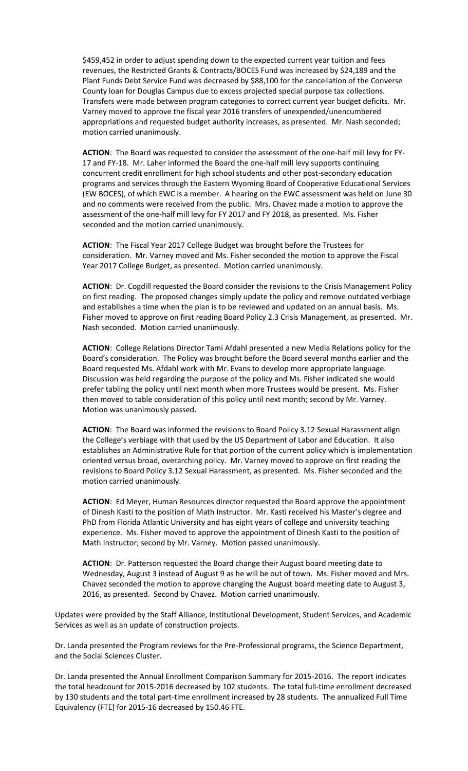\$459,452 in order to adjust spending down to the expected current year tuition and fees revenues, the Restricted Grants & Contracts/BOCES Fund was increased by \$24,189 and the Plant Funds Debt Service Fund was decreased by \$88,100 for the cancellation of the Converse County loan for Douglas Campus due to excess projected special purpose tax collections. Transfers were made between program categories to correct current year budget deficits. Mr. Varney moved to approve the fiscal year 2016 transfers of unexpended/unencumbered appropriations and requested budget authority increases, as presented. Mr. Nash seconded; motion carried unanimously.

**ACTION**: The Board was requested to consider the assessment of the one-half mill levy for FY-17 and FY-18. Mr. Laher informed the Board the one-half mill levy supports continuing concurrent credit enrollment for high school students and other post-secondary education programs and services through the Eastern Wyoming Board of Cooperative Educational Services (EW BOCES), of which EWC is a member. A hearing on the EWC assessment was held on June 30 and no comments were received from the public. Mrs. Chavez made a motion to approve the assessment of the one-half mill levy for FY 2017 and FY 2018, as presented. Ms. Fisher seconded and the motion carried unanimously.

**ACTION**: The Fiscal Year 2017 College Budget was brought before the Trustees for consideration. Mr. Varney moved and Ms. Fisher seconded the motion to approve the Fiscal Year 2017 College Budget, as presented. Motion carried unanimously.

**ACTION**: Dr. Cogdill requested the Board consider the revisions to the Crisis Management Policy on first reading. The proposed changes simply update the policy and remove outdated verbiage and establishes a time when the plan is to be reviewed and updated on an annual basis. Ms. Fisher moved to approve on first reading Board Policy 2.3 Crisis Management, as presented. Mr. Nash seconded. Motion carried unanimously.

**ACTION**: College Relations Director Tami Afdahl presented a new Media Relations policy for the Board's consideration. The Policy was brought before the Board several months earlier and the Board requested Ms. Afdahl work with Mr. Evans to develop more appropriate language. Discussion was held regarding the purpose of the policy and Ms. Fisher indicated she would prefer tabling the policy until next month when more Trustees would be present. Ms. Fisher then moved to table consideration of this policy until next month; second by Mr. Varney. Motion was unanimously passed.

**ACTION**: The Board was informed the revisions to Board Policy 3.12 Sexual Harassment align the College's verbiage with that used by the US Department of Labor and Education. It also establishes an Administrative Rule for that portion of the current policy which is implementation oriented versus broad, overarching policy. Mr. Varney moved to approve on first reading the revisions to Board Policy 3.12 Sexual Harassment, as presented. Ms. Fisher seconded and the motion carried unanimously.

**ACTION**: Ed Meyer, Human Resources director requested the Board approve the appointment of Dinesh Kasti to the position of Math Instructor. Mr. Kasti received his Master's degree and PhD from Florida Atlantic University and has eight years of college and university teaching experience. Ms. Fisher moved to approve the appointment of Dinesh Kasti to the position of Math Instructor; second by Mr. Varney. Motion passed unanimously.

**ACTION**: Dr. Patterson requested the Board change their August board meeting date to Wednesday, August 3 instead of August 9 as he will be out of town. Ms. Fisher moved and Mrs. Chavez seconded the motion to approve changing the August board meeting date to August 3, 2016, as presented. Second by Chavez. Motion carried unanimously.

Updates were provided by the Staff Alliance, Institutional Development, Student Services, and Academic Services as well as an update of construction projects.

Dr. Landa presented the Program reviews for the Pre-Professional programs, the Science Department, and the Social Sciences Cluster.

Dr. Landa presented the Annual Enrollment Comparison Summary for 2015-2016. The report indicates the total headcount for 2015-2016 decreased by 102 students. The total full-time enrollment decreased by 130 students and the total part-time enrollment increased by 28 students. The annualized Full Time Equivalency (FTE) for 2015-16 decreased by 150.46 FTE.